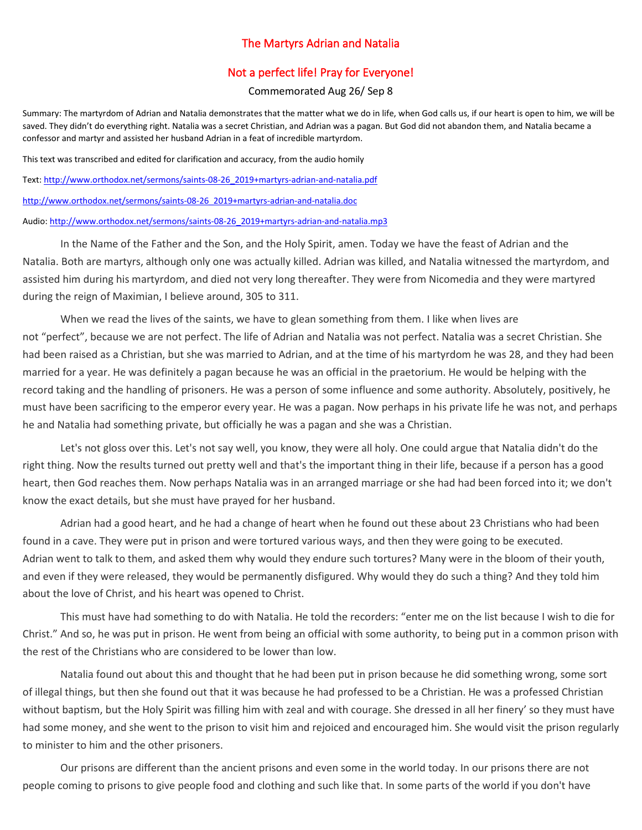## The Martyrs Adrian and Natalia

## Not a perfect life! Pray for Everyone!

## Commemorated Aug 26/ Sep 8

Summary: The martyrdom of Adrian and Natalia demonstrates that the matter what we do in life, when God calls us, if our heart is open to him, we will be saved. They didn't do everything right. Natalia was a secret Christian, and Adrian was a pagan. But God did not abandon them, and Natalia became a confessor and martyr and assisted her husband Adrian in a feat of incredible martyrdom.

This text was transcribed and edited for clarification and accuracy, from the audio homily

Text: [http://www.orthodox.net/sermons/saints-08-26\\_2019+martyrs-adrian-and-natalia.pdf](https://www.orthodox.net//sermons/saints-08-26_2019+martyrs-adrian-and-natalia.pdf)

[http://www.orthodox.net/sermons/saints-08-26\\_2019+martyrs-adrian-and-natalia.doc](https://www.orthodox.net//sermons/saints-08-26_2019+martyrs-adrian-and-natalia.doc)

Audio[: http://www.orthodox.net/sermons/saints-08-26\\_2019+martyrs-adrian-and-natalia.mp3](https://www.orthodox.net//sermons/saints-08-26_2019+martyrs-adrian-and-natalia.mp3)

In the Name of the Father and the Son, and the Holy Spirit, amen. Today we have the feast of Adrian and the Natalia. Both are martyrs, although only one was actually killed. Adrian was killed, and Natalia witnessed the martyrdom, and assisted him during his martyrdom, and died not very long thereafter. They were from Nicomedia and they were martyred during the reign of Maximian, I believe around, 305 to 311.

When we read the lives of the saints, we have to glean something from them. I like when lives are not "perfect", because we are not perfect. The life of Adrian and Natalia was not perfect. Natalia was a secret Christian. She had been raised as a Christian, but she was married to Adrian, and at the time of his martyrdom he was 28, and they had been married for a year. He was definitely a pagan because he was an official in the praetorium. He would be helping with the record taking and the handling of prisoners. He was a person of some influence and some authority. Absolutely, positively, he must have been sacrificing to the emperor every year. He was a pagan. Now perhaps in his private life he was not, and perhaps he and Natalia had something private, but officially he was a pagan and she was a Christian.

Let's not gloss over this. Let's not say well, you know, they were all holy. One could argue that Natalia didn't do the right thing. Now the results turned out pretty well and that's the important thing in their life, because if a person has a good heart, then God reaches them. Now perhaps Natalia was in an arranged marriage or she had had been forced into it; we don't know the exact details, but she must have prayed for her husband.

Adrian had a good heart, and he had a change of heart when he found out these about 23 Christians who had been found in a cave. They were put in prison and were tortured various ways, and then they were going to be executed. Adrian went to talk to them, and asked them why would they endure such tortures? Many were in the bloom of their youth, and even if they were released, they would be permanently disfigured. Why would they do such a thing? And they told him about the love of Christ, and his heart was opened to Christ.

This must have had something to do with Natalia. He told the recorders: "enter me on the list because I wish to die for Christ." And so, he was put in prison. He went from being an official with some authority, to being put in a common prison with the rest of the Christians who are considered to be lower than low.

Natalia found out about this and thought that he had been put in prison because he did something wrong, some sort of illegal things, but then she found out that it was because he had professed to be a Christian. He was a professed Christian without baptism, but the Holy Spirit was filling him with zeal and with courage. She dressed in all her finery' so they must have had some money, and she went to the prison to visit him and rejoiced and encouraged him. She would visit the prison regularly to minister to him and the other prisoners.

Our prisons are different than the ancient prisons and even some in the world today. In our prisons there are not people coming to prisons to give people food and clothing and such like that. In some parts of the world if you don't have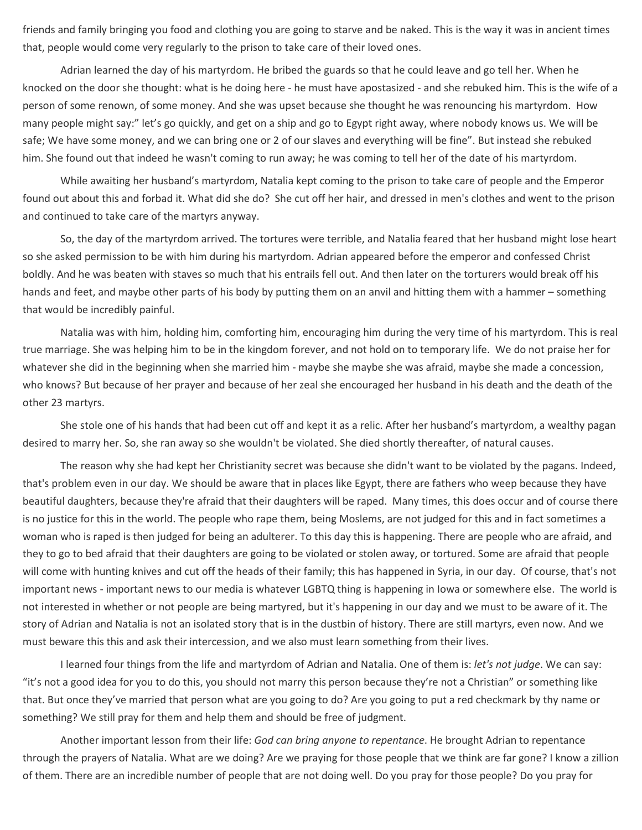friends and family bringing you food and clothing you are going to starve and be naked. This is the way it was in ancient times that, people would come very regularly to the prison to take care of their loved ones.

Adrian learned the day of his martyrdom. He bribed the guards so that he could leave and go tell her. When he knocked on the door she thought: what is he doing here - he must have apostasized - and she rebuked him. This is the wife of a person of some renown, of some money. And she was upset because she thought he was renouncing his martyrdom. How many people might say:" let's go quickly, and get on a ship and go to Egypt right away, where nobody knows us. We will be safe; We have some money, and we can bring one or 2 of our slaves and everything will be fine". But instead she rebuked him. She found out that indeed he wasn't coming to run away; he was coming to tell her of the date of his martyrdom.

While awaiting her husband's martyrdom, Natalia kept coming to the prison to take care of people and the Emperor found out about this and forbad it. What did she do? She cut off her hair, and dressed in men's clothes and went to the prison and continued to take care of the martyrs anyway.

So, the day of the martyrdom arrived. The tortures were terrible, and Natalia feared that her husband might lose heart so she asked permission to be with him during his martyrdom. Adrian appeared before the emperor and confessed Christ boldly. And he was beaten with staves so much that his entrails fell out. And then later on the torturers would break off his hands and feet, and maybe other parts of his body by putting them on an anvil and hitting them with a hammer – something that would be incredibly painful.

Natalia was with him, holding him, comforting him, encouraging him during the very time of his martyrdom. This is real true marriage. She was helping him to be in the kingdom forever, and not hold on to temporary life. We do not praise her for whatever she did in the beginning when she married him - maybe she maybe she was afraid, maybe she made a concession, who knows? But because of her prayer and because of her zeal she encouraged her husband in his death and the death of the other 23 martyrs.

She stole one of his hands that had been cut off and kept it as a relic. After her husband's martyrdom, a wealthy pagan desired to marry her. So, she ran away so she wouldn't be violated. She died shortly thereafter, of natural causes.

The reason why she had kept her Christianity secret was because she didn't want to be violated by the pagans. Indeed, that's problem even in our day. We should be aware that in places like Egypt, there are fathers who weep because they have beautiful daughters, because they're afraid that their daughters will be raped. Many times, this does occur and of course there is no justice for this in the world. The people who rape them, being Moslems, are not judged for this and in fact sometimes a woman who is raped is then judged for being an adulterer. To this day this is happening. There are people who are afraid, and they to go to bed afraid that their daughters are going to be violated or stolen away, or tortured. Some are afraid that people will come with hunting knives and cut off the heads of their family; this has happened in Syria, in our day. Of course, that's not important news - important news to our media is whatever LGBTQ thing is happening in Iowa or somewhere else. The world is not interested in whether or not people are being martyred, but it's happening in our day and we must to be aware of it. The story of Adrian and Natalia is not an isolated story that is in the dustbin of history. There are still martyrs, even now. And we must beware this this and ask their intercession, and we also must learn something from their lives.

I learned four things from the life and martyrdom of Adrian and Natalia. One of them is: *let's not judge*. We can say: "it's not a good idea for you to do this, you should not marry this person because they're not a Christian" or something like that. But once they've married that person what are you going to do? Are you going to put a red checkmark by thy name or something? We still pray for them and help them and should be free of judgment.

Another important lesson from their life: *God can bring anyone to repentance*. He brought Adrian to repentance through the prayers of Natalia. What are we doing? Are we praying for those people that we think are far gone? I know a zillion of them. There are an incredible number of people that are not doing well. Do you pray for those people? Do you pray for